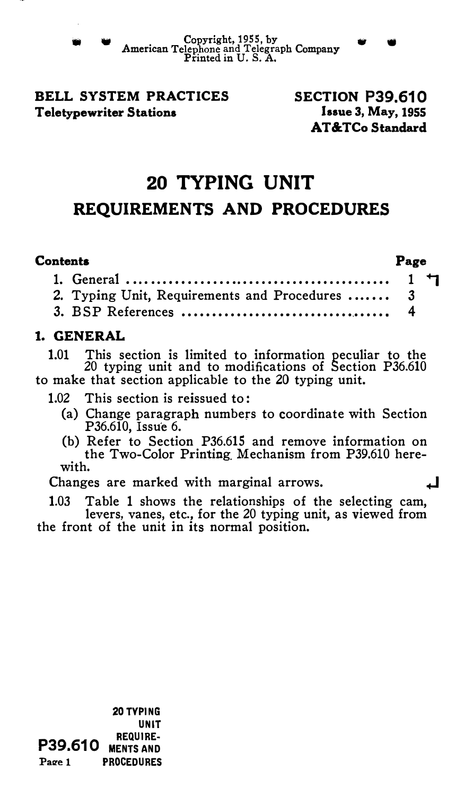#### BELL SYSTEM PRACTICES Teletypewriter Stations

#### SECTION P39.610 laaue 3, May, 1955 AT&TCo Standard

# 20 TYPING UNIT REQUIREMENTS AND PROCEDURES

#### Contents

Page

| 2. Typing Unit, Requirements and Procedures  3 |  |
|------------------------------------------------|--|
|                                                |  |

### 1. GENERAL

1.01 This section is limited to information peculiar to the 20 typing unit and to modifications of Section P36.610 to make that section applicable to the 20 typing unit.

1.02 This section is reissued to:

- (a) Change paragraph numbers to coordinate with Section P36.610, Issue 6.
- (b) Refer to Section P36.615 and remove information on the Two-Color Printing\_ Mechanism from P39.610 herewith.

Changes are marked with marginal arrows.

1.03 Table 1 shows the relationships of the selecting cam, levers, vanes, etc., for the 20 typing unit, as viewed from the front of the unit in its normal position.

P39.610 MENTS AND Page 1 20 TYPING UNIT REQUIRE· PROCEDURES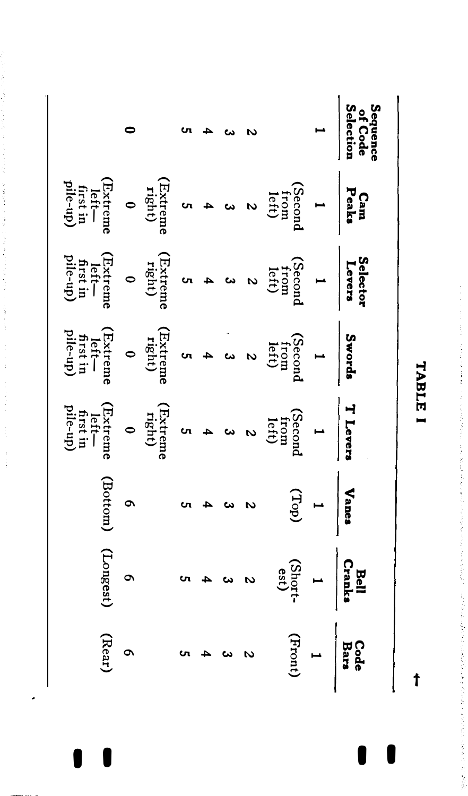|                                                                                                                                                                                                                                                                                                                                                                                                                                                                                                         |  |  |               |                                                                                                                                                                                                                                                                                                                                                                                                                                                    | Sequenc<br>of Code<br>Selection<br>1 |
|---------------------------------------------------------------------------------------------------------------------------------------------------------------------------------------------------------------------------------------------------------------------------------------------------------------------------------------------------------------------------------------------------------------------------------------------------------------------------------------------------------|--|--|---------------|----------------------------------------------------------------------------------------------------------------------------------------------------------------------------------------------------------------------------------------------------------------------------------------------------------------------------------------------------------------------------------------------------------------------------------------------------|--------------------------------------|
| $\begin{array}{c cc}\n\textbf{P}\textbf{E}\textbf{a}\textbf{s}\textbf{s}\n\end{array}\n\left \begin{array}{ccc}\n1 & 1 & 1 \\ 1 & 1 & 1 \\ 1 & 1 & 1 \\ 1 & 1 & 1 \\ 1 & 1 & 1 \\ 1 & 1 & 1 \\ 1 & 1 & 1 \\ 1 & 1 & 1 \\ 1 & 1 & 1 \\ 1 & 1 & 1 \\ 1 & 1 & 1 \\ 1 & 1 & 1 \\ 1 & 1 & 1 \\ 1 & 1 & 1 \\ 1 & 1 & 1 \\ 1 & 1 & 1 \\ 1 & 1 & 1 \\ 1 & 1 & 1 \\ 1 & 1 & 1 \\ 1 & 1 & 1 \\ 1 & 1 & 1 \\ 1$                                                                                                    |  |  |               |                                                                                                                                                                                                                                                                                                                                                                                                                                                    |                                      |
| Selectors<br>$\left.\begin{array}{c}\n\text{Ssecond} \\ \text{Costern} \\ \text{Dary} \\ \text{Costern} \\ \text{Costern} \\ \text{Costern} \\ \text{Costern} \\ \text{Costern} \\ \text{Costern} \\ \text{Costern} \\ \text{Costern} \\ \text{Costern} \\ \text{Costern} \\ \text{Costern} \\ \text{Costern} \\ \text{Costern} \\ \text{Costern} \\ \text{Costern} \\ \text{Costern} \\ \text{Costern} \\ \text{Costern} \\ \text{Costern} \\ \text{Costern} \\ \text{Costern} \\ \text{Costern} \\ \$ |  |  |               |                                                                                                                                                                                                                                                                                                                                                                                                                                                    |                                      |
|                                                                                                                                                                                                                                                                                                                                                                                                                                                                                                         |  |  |               |                                                                                                                                                                                                                                                                                                                                                                                                                                                    |                                      |
|                                                                                                                                                                                                                                                                                                                                                                                                                                                                                                         |  |  |               |                                                                                                                                                                                                                                                                                                                                                                                                                                                    |                                      |
| 6<br>(Bottom)                                                                                                                                                                                                                                                                                                                                                                                                                                                                                           |  |  |               | $\begin{bmatrix} \sum_{i=1}^{n} 1 & 1 & 1 \\ 1 & 1 & 1 \\ 1 & 1 & 1 \end{bmatrix}$                                                                                                                                                                                                                                                                                                                                                                 |                                      |
| 6<br>(Longest)                                                                                                                                                                                                                                                                                                                                                                                                                                                                                          |  |  |               | $\begin{array}{c ccc}\n\text{Bell} & & & \text{Bell} \\ \text{Crl} & & & \text{Cil} \\ \text{Cyl} & & & \text{Cil} \\ \text{Cil} & & & \text{Cil} \\ \text{Cil} & & & \text{Cil} \\ \text{Cil} & & & \text{Cil} \\ \text{Cil} & & & \text{Cil} \\ \text{Cil} & & & \text{Cil} \\ \text{Cil} & & & \text{Cil} \\ \text{Cil} & & & \text{Cil} \\ \text{Cil} & & & \text{Cil} \\ \text{Cil} & & & \text{Cil} \\ \text{Cil} & & & \text{Cil} \\ \text$ |                                      |
| $6$<br>(Rear)                                                                                                                                                                                                                                                                                                                                                                                                                                                                                           |  |  | $\frac{a}{a}$ | $\begin{tabular}{c c} Code & \textbf{Bars} \\ \hline \textbf{Bars} & 1 \\ \hline \end{tabular}$                                                                                                                                                                                                                                                                                                                                                    |                                      |
|                                                                                                                                                                                                                                                                                                                                                                                                                                                                                                         |  |  |               |                                                                                                                                                                                                                                                                                                                                                                                                                                                    |                                      |

.

TABLE TABLE I

+-

I

ļ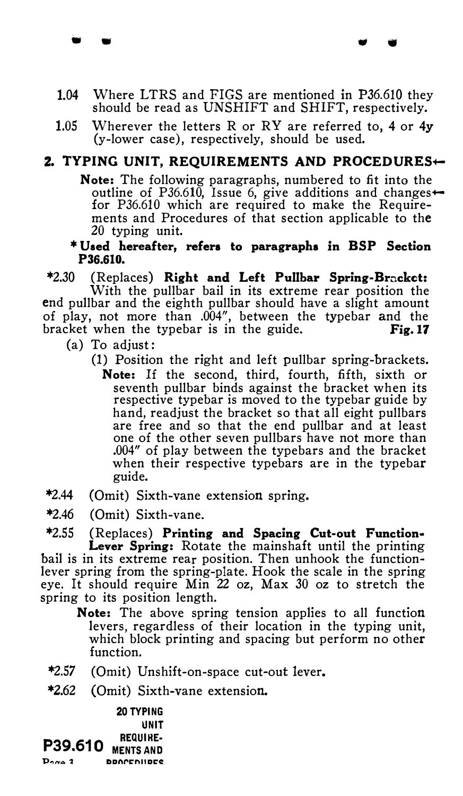1.04 Where LTRS and FIGS are mentioned in P36.610 they should be read as UNSHIFT and SHIFT, respectively.

• • • •

1.05 Wherever the letters R or RY are referred to, 4 or  $4v$ (y-lower case), respectively, should be used.

## 2. TYPING UNIT, REQUIREMENTS AND PROCEDURES $\leftarrow$

Note: The following paragraphs, numbered to fit into the outline of P36.610. Issue 6, give additions and changes $\leftarrow$ for P36.610 which are required to make the Requirements and Procedures of that section applicable to the 20 typing unit.

\*Used hereafter, refers to paragraphs in BSP Section P36.610.

\*2.30 (Replaces) Right and Left Pullbar Spring-Brackct: With the pullbar bail in its extreme rear position the

end pullbar and the eighth pullbar should have a slight amount of play, not more than .004", between the typebar and the bracket when the typebar is in the guide.  $Fig.17$ 

- (a) To adjust:
	- (1) Position the right and left pullbar spring-brackets.
		- Note: If the second, third, fourth, fifth, sixth or seventh pullbar binds against the bracket when its respective typebar is moved to the typebar guide by hand, readjust the bracket so that all eight pullbars are free and so that the end pullbar and at least one of the other seven pullbars have not more than .004" of play between the typebars and the bracket when their respective typebars are in the typebar guide.
- \*2.44 (Omit) Sixth-vane extension spring.
- \*2.46 (Omit) Sixth-vane.

\*2.55 (Replaces) Printing and Spacing Cut-out Function• Lever Spring: Rotate the mainshaft until the printing bail is in its extreme rear position. Then unhook the functionlever spring from the spring-plate. Hook the scale in the spring eye. It should require Min 22 oz, Max 30 oz to stretch the spring to its position length.

Note: The above spring tension applies to all function levers, regardless of their location in the typing unit, which block printing and spacing but perform no other function.

- \*2.57 (Omit) Unshift-on-space cut-out lever.
- \*2.62 (Omit) Sixth-vane extension.

20 TYPING UNIT **P39.610 REQUIRE-** $Proof 1$ DDnl'rniiDrf: